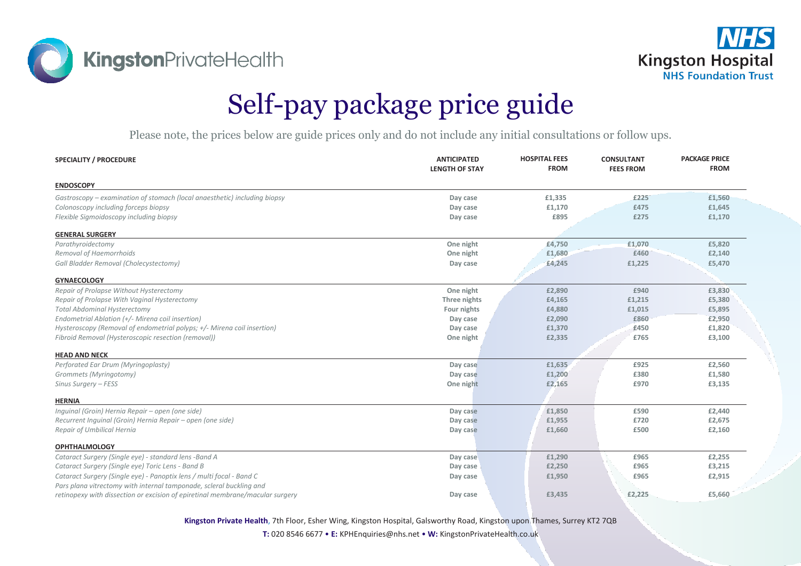**KingstonPrivateHealth** 



## Self-pay package price guide

Please note, the prices below are guide prices only and do not include any initial consultations or follow ups.

| <b>SPECIALITY / PROCEDURE</b>                                                 | <b>ANTICIPATED</b><br><b>LENGTH OF STAY</b> | <b>HOSPITAL FEES</b><br><b>FROM</b> | <b>CONSULTANT</b><br><b>FEES FROM</b> | <b>PACKAGE PRICE</b><br><b>FROM</b> |
|-------------------------------------------------------------------------------|---------------------------------------------|-------------------------------------|---------------------------------------|-------------------------------------|
| <b>ENDOSCOPY</b>                                                              |                                             |                                     |                                       |                                     |
| Gastroscopy – examination of stomach (local anaesthetic) including biopsy     | Day case                                    | £1,335                              | £225                                  | £1,560                              |
| Colonoscopy including forceps biopsy                                          | Day case                                    | £1,170                              | £475                                  | £1,645                              |
| Flexible Sigmoidoscopy including biopsy                                       | Day case                                    | £895                                | £275                                  | £1,170                              |
| <b>GENERAL SURGERY</b>                                                        |                                             |                                     |                                       |                                     |
| Parathyroidectomy                                                             | One night                                   | £4,750                              | £1,070                                | £5,820                              |
| Removal of Haemorrhoids                                                       | One night                                   | £1,680                              | £460                                  | £2,140                              |
| Gall Bladder Removal (Cholecystectomy)                                        | Day case                                    | £4,245                              | £1,225                                | £5,470                              |
| <b>GYNAECOLOGY</b>                                                            |                                             |                                     |                                       |                                     |
| Repair of Prolapse Without Hysterectomy                                       | One night                                   | £2,890                              | £940                                  | £3,830                              |
| Repair of Prolapse With Vaginal Hysterectomy                                  | Three nights                                | £4,165                              | £1,215                                | £5,380                              |
| <b>Total Abdominal Hysterectomy</b>                                           | Four nights                                 | £4,880                              | £1,015                                | £5,895                              |
| Endometrial Ablation (+/- Mirena coil insertion)                              | Day case                                    | £2,090                              | £860                                  | £2,950                              |
| Hysteroscopy (Removal of endometrial polyps; +/- Mirena coil insertion)       | Day case                                    | £1,370                              | £450                                  | £1,820                              |
| Fibroid Removal (Hysteroscopic resection (removal))                           | One night                                   | £2,335                              | £765                                  | £3,100                              |
| <b>HEAD AND NECK</b>                                                          |                                             |                                     |                                       |                                     |
| Perforated Ear Drum (Myringoplasty)                                           | Day case                                    | £1,635                              | £925                                  | £2,560                              |
| Grommets (Myringotomy)                                                        | Day case                                    | £1,200                              | £380                                  | £1,580                              |
| Sinus Surgery - FESS                                                          | One night                                   | £2,165                              | £970                                  | £3,135                              |
|                                                                               |                                             |                                     |                                       |                                     |
| <b>HERNIA</b>                                                                 |                                             |                                     |                                       |                                     |
| Inquinal (Groin) Hernia Repair - open (one side)                              | Day case                                    | £1,850                              | £590                                  | £2,440                              |
| Recurrent Inquinal (Groin) Hernia Repair - open (one side)                    | Day case                                    | £1,955                              | £720                                  | £2,675                              |
| Repair of Umbilical Hernia                                                    | Day case                                    | £1,660                              | £500                                  | £2,160                              |
| <b>OPHTHALMOLOGY</b>                                                          |                                             |                                     |                                       |                                     |
| Cataract Surgery (Single eye) - standard lens -Band A                         | Day case                                    | £1,290                              | £965                                  | £2,255                              |
| Cataract Surgery (Single eye) Toric Lens - Band B                             | Day case                                    | £2,250                              | £965                                  | £3,215                              |
| Cataract Surgery (Single eye) - Panoptix lens / multi focal - Band C          | Day case                                    | £1,950                              | £965                                  | £2,915                              |
| Pars plana vitrectomy with internal tamponade, scleral buckling and           |                                             |                                     |                                       |                                     |
| retinopexy with dissection or excision of epiretinal membrane/macular surgery | Day case                                    | £3,435                              | £2,225                                | £5,660                              |

**Kingston Private Health**, 7th Floor, Esher Wing, Kingston Hospital, Galsworthy Road, Kingston upon Thames, Surrey KT2 7QB

**T:** 020 8546 6677 • **E:** KPHEnquiries@nhs.net • **W:** KingstonPrivateHealth.co.uk